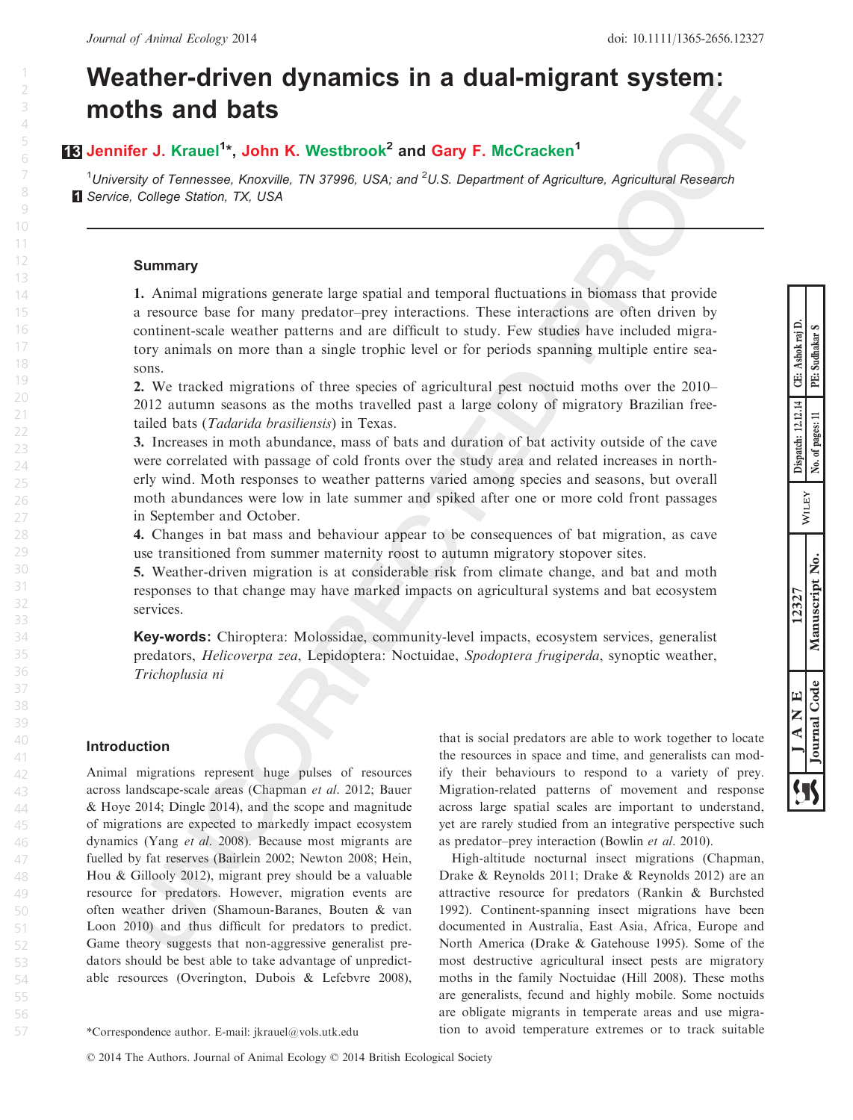# Weather-driven dynamics in a dual-migrant system: moths and bats

## **13 Jennifer J.** Krauel<sup>1</sup>\*, John K. Westbrook<sup>2</sup> and Gary F. McCracken<sup>1</sup>

 $1$ University of Tennessee, Knoxville, TN 37996, USA; and  $2$ U.S. Department of Agriculture, Agricultural Research **1 Service, College Station, TX, USA** 

## Summary

1. Animal migrations generate large spatial and temporal fluctuations in biomass that provide a resource base for many predator–prey interactions. These interactions are often driven by continent-scale weather patterns and are difficult to study. Few studies have included migratory animals on more than a single trophic level or for periods spanning multiple entire seasons.

2. We tracked migrations of three species of agricultural pest noctuid moths over the 2010– 2012 autumn seasons as the moths travelled past a large colony of migratory Brazilian freetailed bats (Tadarida brasiliensis) in Texas.

3. Increases in moth abundance, mass of bats and duration of bat activity outside of the cave were correlated with passage of cold fronts over the study area and related increases in northerly wind. Moth responses to weather patterns varied among species and seasons, but overall moth abundances were low in late summer and spiked after one or more cold front passages in September and October.

4. Changes in bat mass and behaviour appear to be consequences of bat migration, as cave use transitioned from summer maternity roost to autumn migratory stopover sites.

5. Weather-driven migration is at considerable risk from climate change, and bat and moth responses to that change may have marked impacts on agricultural systems and bat ecosystem services.

Key-words: Chiroptera: Molossidae, community-level impacts, ecosystem services, generalist predators, Helicoverpa zea, Lepidoptera: Noctuidae, Spodoptera frugiperda, synoptic weather, Trichoplusia ni

## Introduction

Animal migrations represent huge pulses of resources across landscape-scale areas (Chapman et al. 2012; Bauer & Hoye 2014; Dingle 2014), and the scope and magnitude of migrations are expected to markedly impact ecosystem dynamics (Yang et al. 2008). Because most migrants are fuelled by fat reserves (Bairlein 2002; Newton 2008; Hein, Hou & Gillooly 2012), migrant prey should be a valuable resource for predators. However, migration events are often weather driven (Shamoun-Baranes, Bouten & van Loon 2010) and thus difficult for predators to predict. Game theory suggests that non-aggressive generalist predators should be best able to take advantage of unpredictable resources (Overington, Dubois & Lefebvre 2008),

that is social predators are able to work together to locate the resources in space and time, and generalists can modify their behaviours to respond to a variety of prey. Migration-related patterns of movement and response across large spatial scales are important to understand, yet are rarely studied from an integrative perspective such as predator–prey interaction (Bowlin et al. 2010).

High-altitude nocturnal insect migrations (Chapman, Drake & Reynolds 2011; Drake & Reynolds 2012) are an attractive resource for predators (Rankin & Burchsted 1992). Continent-spanning insect migrations have been documented in Australia, East Asia, Africa, Europe and North America (Drake & Gatehouse 1995). Some of the most destructive agricultural insect pests are migratory moths in the family Noctuidae (Hill 2008). These moths are generalists, fecund and highly mobile. Some noctuids are obligate migrants in temperate areas and use migra- \*Correspondence author. E-mail: jkrauel@vols.utk.edu tion to avoid temperature extremes or to track suitable

1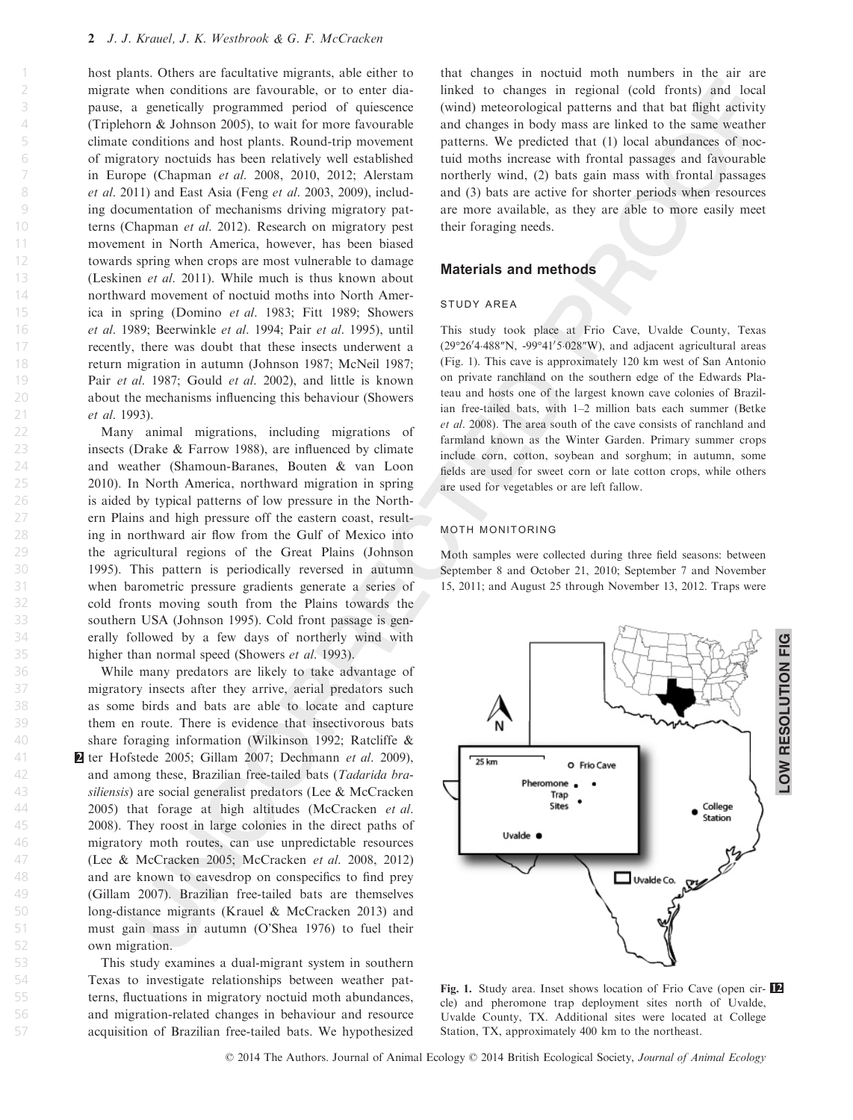host plants. Others are facultative migrants, able either to migrate when conditions are favourable, or to enter diapause, a genetically programmed period of quiescence (Triplehorn & Johnson 2005), to wait for more favourable climate conditions and host plants. Round-trip movement of migratory noctuids has been relatively well established in Europe (Chapman et al. 2008, 2010, 2012; Alerstam et al. 2011) and East Asia (Feng et al. 2003, 2009), including documentation of mechanisms driving migratory patterns (Chapman et al. 2012). Research on migratory pest movement in North America, however, has been biased towards spring when crops are most vulnerable to damage (Leskinen et al. 2011). While much is thus known about northward movement of noctuid moths into North America in spring (Domino et al. 1983; Fitt 1989; Showers et al. 1989; Beerwinkle et al. 1994; Pair et al. 1995), until recently, there was doubt that these insects underwent a return migration in autumn (Johnson 1987; McNeil 1987; Pair et al. 1987; Gould et al. 2002), and little is known about the mechanisms influencing this behaviour (Showers et al. 1993).

Many animal migrations, including migrations of insects (Drake & Farrow 1988), are influenced by climate and weather (Shamoun-Baranes, Bouten & van Loon 2010). In North America, northward migration in spring is aided by typical patterns of low pressure in the Northern Plains and high pressure off the eastern coast, resulting in northward air flow from the Gulf of Mexico into the agricultural regions of the Great Plains (Johnson 1995). This pattern is periodically reversed in autumn when barometric pressure gradients generate a series of cold fronts moving south from the Plains towards the southern USA (Johnson 1995). Cold front passage is generally followed by a few days of northerly wind with higher than normal speed (Showers et al. 1993).

While many predators are likely to take advantage of migratory insects after they arrive, aerial predators such as some birds and bats are able to locate and capture them en route. There is evidence that insectivorous bats share foraging information (Wilkinson 1992; Ratcliffe & **2** ter Hofstede 2005; Gillam 2007; Dechmann et al. 2009), and among these, Brazilian free-tailed bats (Tadarida brasiliensis) are social generalist predators (Lee & McCracken 2005) that forage at high altitudes (McCracken et al. 2008). They roost in large colonies in the direct paths of migratory moth routes, can use unpredictable resources (Lee & McCracken 2005; McCracken et al. 2008, 2012) and are known to eavesdrop on conspecifics to find prey (Gillam 2007). Brazilian free-tailed bats are themselves long-distance migrants (Krauel & McCracken 2013) and must gain mass in autumn (O'Shea 1976) to fuel their own migration.

This study examines a dual-migrant system in southern Texas to investigate relationships between weather patterns, fluctuations in migratory noctuid moth abundances, and migration-related changes in behaviour and resource acquisition of Brazilian free-tailed bats. We hypothesized that changes in noctuid moth numbers in the air are linked to changes in regional (cold fronts) and local (wind) meteorological patterns and that bat flight activity and changes in body mass are linked to the same weather patterns. We predicted that (1) local abundances of noctuid moths increase with frontal passages and favourable northerly wind, (2) bats gain mass with frontal passages and (3) bats are active for shorter periods when resources are more available, as they are able to more easily meet their foraging needs.

## Materials and methods

#### study area

This study took place at Frio Cave, Uvalde County, Texas (29°26'4.488"N, -99°41'5.028"W), and adjacent agricultural areas (Fig. 1). This cave is approximately 120 km west of San Antonio on private ranchland on the southern edge of the Edwards Plateau and hosts one of the largest known cave colonies of Brazilian free-tailed bats, with 1–2 million bats each summer (Betke et al. 2008). The area south of the cave consists of ranchland and farmland known as the Winter Garden. Primary summer crops include corn, cotton, soybean and sorghum; in autumn, some fields are used for sweet corn or late cotton crops, while others are used for vegetables or are left fallow.

#### moth monitoring

Moth samples were collected during three field seasons: between September 8 and October 21, 2010; September 7 and November 15, 2011; and August 25 through November 13, 2012. Traps were



Fig. 1. Study area. Inset shows location of Frio Cave (open circle) and pheromone trap deployment sites north of Uvalde, Uvalde County, TX. Additional sites were located at College Station, TX, approximately 400 km to the northeast.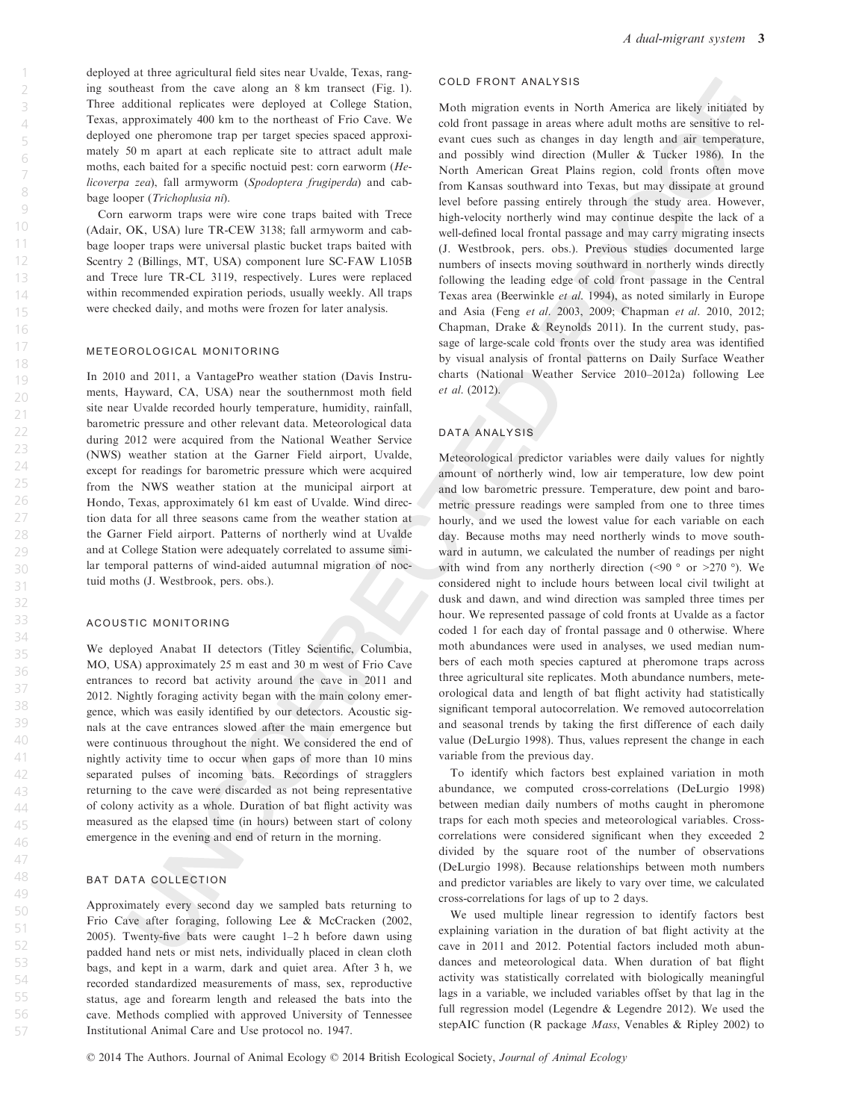deployed at three agricultural field sites near Uvalde, Texas, ranging southeast from the cave along an 8 km transect (Fig. 1). Three additional replicates were deployed at College Station, Texas, approximately 400 km to the northeast of Frio Cave. We deployed one pheromone trap per target species spaced approximately 50 m apart at each replicate site to attract adult male moths, each baited for a specific noctuid pest: corn earworm (Helicoverpa zea), fall armyworm (Spodoptera frugiperda) and cabbage looper (Trichoplusia ni).

Corn earworm traps were wire cone traps baited with Trece (Adair, OK, USA) lure TR-CEW 3138; fall armyworm and cabbage looper traps were universal plastic bucket traps baited with Scentry 2 (Billings, MT, USA) component lure SC-FAW L105B and Trece lure TR-CL 3119, respectively. Lures were replaced within recommended expiration periods, usually weekly. All traps were checked daily, and moths were frozen for later analysis.

## meteorological monitoring

In 2010 and 2011, a VantagePro weather station (Davis Instruments, Hayward, CA, USA) near the southernmost moth field site near Uvalde recorded hourly temperature, humidity, rainfall, barometric pressure and other relevant data. Meteorological data during 2012 were acquired from the National Weather Service (NWS) weather station at the Garner Field airport, Uvalde, except for readings for barometric pressure which were acquired from the NWS weather station at the municipal airport at Hondo, Texas, approximately 61 km east of Uvalde. Wind direction data for all three seasons came from the weather station at the Garner Field airport. Patterns of northerly wind at Uvalde and at College Station were adequately correlated to assume similar temporal patterns of wind-aided autumnal migration of noctuid moths (J. Westbrook, pers. obs.).

#### acoustic monitoring

We deployed Anabat II detectors (Titley Scientific, Columbia, MO, USA) approximately 25 m east and 30 m west of Frio Cave entrances to record bat activity around the cave in 2011 and 2012. Nightly foraging activity began with the main colony emergence, which was easily identified by our detectors. Acoustic signals at the cave entrances slowed after the main emergence but were continuous throughout the night. We considered the end of nightly activity time to occur when gaps of more than 10 mins separated pulses of incoming bats. Recordings of stragglers returning to the cave were discarded as not being representative of colony activity as a whole. Duration of bat flight activity was measured as the elapsed time (in hours) between start of colony emergence in the evening and end of return in the morning.

#### bat data collection

Approximately every second day we sampled bats returning to Frio Cave after foraging, following Lee & McCracken (2002, 2005). Twenty-five bats were caught 1–2 h before dawn using padded hand nets or mist nets, individually placed in clean cloth bags, and kept in a warm, dark and quiet area. After 3 h, we recorded standardized measurements of mass, sex, reproductive status, age and forearm length and released the bats into the cave. Methods complied with approved University of Tennessee Institutional Animal Care and Use protocol no. 1947.

#### cold front analysis

Moth migration events in North America are likely initiated by cold front passage in areas where adult moths are sensitive to relevant cues such as changes in day length and air temperature, and possibly wind direction (Muller & Tucker 1986). In the North American Great Plains region, cold fronts often move from Kansas southward into Texas, but may dissipate at ground level before passing entirely through the study area. However, high-velocity northerly wind may continue despite the lack of a well-defined local frontal passage and may carry migrating insects (J. Westbrook, pers. obs.). Previous studies documented large numbers of insects moving southward in northerly winds directly following the leading edge of cold front passage in the Central Texas area (Beerwinkle et al. 1994), as noted similarly in Europe and Asia (Feng et al. 2003, 2009; Chapman et al. 2010, 2012; Chapman, Drake & Reynolds 2011). In the current study, passage of large-scale cold fronts over the study area was identified by visual analysis of frontal patterns on Daily Surface Weather charts (National Weather Service 2010–2012a) following Lee et al. (2012).

#### DATA ANALYSIS

Meteorological predictor variables were daily values for nightly amount of northerly wind, low air temperature, low dew point and low barometric pressure. Temperature, dew point and barometric pressure readings were sampled from one to three times hourly, and we used the lowest value for each variable on each day. Because moths may need northerly winds to move southward in autumn, we calculated the number of readings per night with wind from any northerly direction (<90  $\degree$  or >270  $\degree$ ). We considered night to include hours between local civil twilight at dusk and dawn, and wind direction was sampled three times per hour. We represented passage of cold fronts at Uvalde as a factor coded 1 for each day of frontal passage and 0 otherwise. Where moth abundances were used in analyses, we used median numbers of each moth species captured at pheromone traps across three agricultural site replicates. Moth abundance numbers, meteorological data and length of bat flight activity had statistically significant temporal autocorrelation. We removed autocorrelation and seasonal trends by taking the first difference of each daily value (DeLurgio 1998). Thus, values represent the change in each variable from the previous day.

To identify which factors best explained variation in moth abundance, we computed cross-correlations (DeLurgio 1998) between median daily numbers of moths caught in pheromone traps for each moth species and meteorological variables. Crosscorrelations were considered significant when they exceeded 2 divided by the square root of the number of observations (DeLurgio 1998). Because relationships between moth numbers and predictor variables are likely to vary over time, we calculated cross-correlations for lags of up to 2 days.

We used multiple linear regression to identify factors best explaining variation in the duration of bat flight activity at the cave in 2011 and 2012. Potential factors included moth abundances and meteorological data. When duration of bat flight activity was statistically correlated with biologically meaningful lags in a variable, we included variables offset by that lag in the full regression model (Legendre & Legendre 2012). We used the stepAIC function (R package Mass, Venables & Ripley 2002) to

57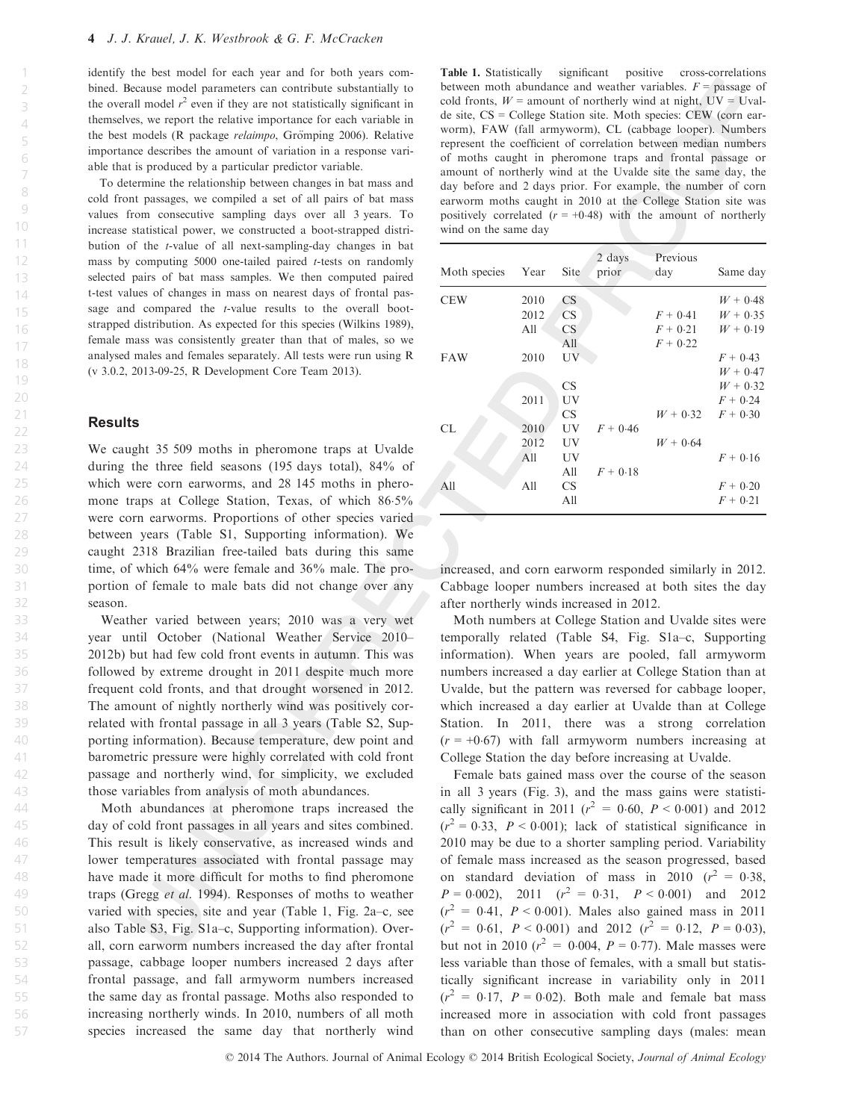identify the best model for each year and for both years combined. Because model parameters can contribute substantially to the overall model  $r^2$  even if they are not statistically significant in themselves, we report the relative importance for each variable in the best models (R package *relaimpo*, Grömping 2006). Relative importance describes the amount of variation in a response variable that is produced by a particular predictor variable.

To determine the relationship between changes in bat mass and cold front passages, we compiled a set of all pairs of bat mass values from consecutive sampling days over all 3 years. To increase statistical power, we constructed a boot-strapped distribution of the t-value of all next-sampling-day changes in bat mass by computing  $5000$  one-tailed paired *t*-tests on randomly selected pairs of bat mass samples. We then computed paired t-test values of changes in mass on nearest days of frontal passage and compared the t-value results to the overall bootstrapped distribution. As expected for this species (Wilkins 1989), female mass was consistently greater than that of males, so we analysed males and females separately. All tests were run using R (v 3.0.2, 2013-09-25, R Development Core Team 2013).

## **Results**

We caught 35 509 moths in pheromone traps at Uvalde during the three field seasons (195 days total), 84% of which were corn earworms, and 28 145 moths in pheromone traps at College Station, Texas, of which 86-5% were corn earworms. Proportions of other species varied between years (Table S1, Supporting information). We caught 2318 Brazilian free-tailed bats during this same time, of which 64% were female and 36% male. The proportion of female to male bats did not change over any season.

Weather varied between years; 2010 was a very wet year until October (National Weather Service 2010– 2012b) but had few cold front events in autumn. This was followed by extreme drought in 2011 despite much more frequent cold fronts, and that drought worsened in 2012. The amount of nightly northerly wind was positively correlated with frontal passage in all 3 years (Table S2, Supporting information). Because temperature, dew point and barometric pressure were highly correlated with cold front passage and northerly wind, for simplicity, we excluded those variables from analysis of moth abundances.

Moth abundances at pheromone traps increased the day of cold front passages in all years and sites combined. This result is likely conservative, as increased winds and lower temperatures associated with frontal passage may have made it more difficult for moths to find pheromone traps (Gregg et al. 1994). Responses of moths to weather varied with species, site and year (Table 1, Fig. 2a–c, see also Table S3, Fig. S1a–c, Supporting information). Overall, corn earworm numbers increased the day after frontal passage, cabbage looper numbers increased 2 days after frontal passage, and fall armyworm numbers increased the same day as frontal passage. Moths also responded to increasing northerly winds. In 2010, numbers of all moth species increased the same day that northerly wind

Table 1. Statistically significant positive cross-correlations between moth abundance and weather variables.  $F =$  passage of cold fronts,  $W =$  amount of northerly wind at night,  $UV = Uval$ de site, CS = College Station site. Moth species: CEW (corn earworm), FAW (fall armyworm), CL (cabbage looper). Numbers represent the coefficient of correlation between median numbers of moths caught in pheromone traps and frontal passage or amount of northerly wind at the Uvalde site the same day, the day before and 2 days prior. For example, the number of corn earworm moths caught in 2010 at the College Station site was positively correlated  $(r = +0.48)$  with the amount of northerly wind on the same day

| Moth species | Year | <b>Site</b> | 2 days<br>prior | Previous<br>day | Same day   |
|--------------|------|-------------|-----------------|-----------------|------------|
| <b>CEW</b>   | 2010 | CS          |                 |                 | $W + 0.48$ |
|              | 2012 | <b>CS</b>   |                 | $F + 0.41$      | $W + 0.35$ |
|              | All  | <b>CS</b>   |                 | $F + 0.21$      | $W + 0.19$ |
|              |      | All         |                 | $F + 0.22$      |            |
| <b>FAW</b>   | 2010 | UV          |                 |                 | $F + 0.43$ |
|              |      |             |                 |                 | $W + 0.47$ |
|              |      | <b>CS</b>   |                 |                 | $W + 0.32$ |
|              | 2011 | UV          |                 |                 | $F + 0.24$ |
|              |      | <b>CS</b>   |                 | $W + 0.32$      | $F + 0.30$ |
| CL           | 2010 | UV          | $F + 0.46$      |                 |            |
|              | 2012 | UV          |                 | $W + 0.64$      |            |
|              | A11  | UV          |                 |                 | $F + 0.16$ |
|              |      | A11         | $F + 0.18$      |                 |            |
| All          | A11  | <b>CS</b>   |                 |                 | $F + 0.20$ |
|              |      | A11         |                 |                 | $F + 0.21$ |

increased, and corn earworm responded similarly in 2012. Cabbage looper numbers increased at both sites the day after northerly winds increased in 2012.

Moth numbers at College Station and Uvalde sites were temporally related (Table S4, Fig. S1a–c, Supporting information). When years are pooled, fall armyworm numbers increased a day earlier at College Station than at Uvalde, but the pattern was reversed for cabbage looper, which increased a day earlier at Uvalde than at College Station. In 2011, there was a strong correlation  $(r = +0.67)$  with fall armyworm numbers increasing at College Station the day before increasing at Uvalde.

Female bats gained mass over the course of the season in all 3 years (Fig. 3), and the mass gains were statistically significant in 2011 ( $r^2 = 0.60$ ,  $P < 0.001$ ) and 2012  $(r^2 = 0.33, P < 0.001)$ ; lack of statistical significance in 2010 may be due to a shorter sampling period. Variability of female mass increased as the season progressed, based on standard deviation of mass in 2010  $(r^2 = 0.38,$  $P = 0.002$ , 2011  $(r^2 = 0.31, P < 0.001)$  and 2012  $(r^2 = 0.41, P < 0.001)$ . Males also gained mass in 2011  $(r^2 = 0.61, P < 0.001)$  and 2012  $(r^2 = 0.12, P = 0.03)$ , but not in 2010 ( $r^2 = 0.004$ ,  $P = 0.77$ ). Male masses were less variable than those of females, with a small but statistically significant increase in variability only in 2011  $(r^2 = 0.17, P = 0.02)$ . Both male and female bat mass increased more in association with cold front passages than on other consecutive sampling days (males: mean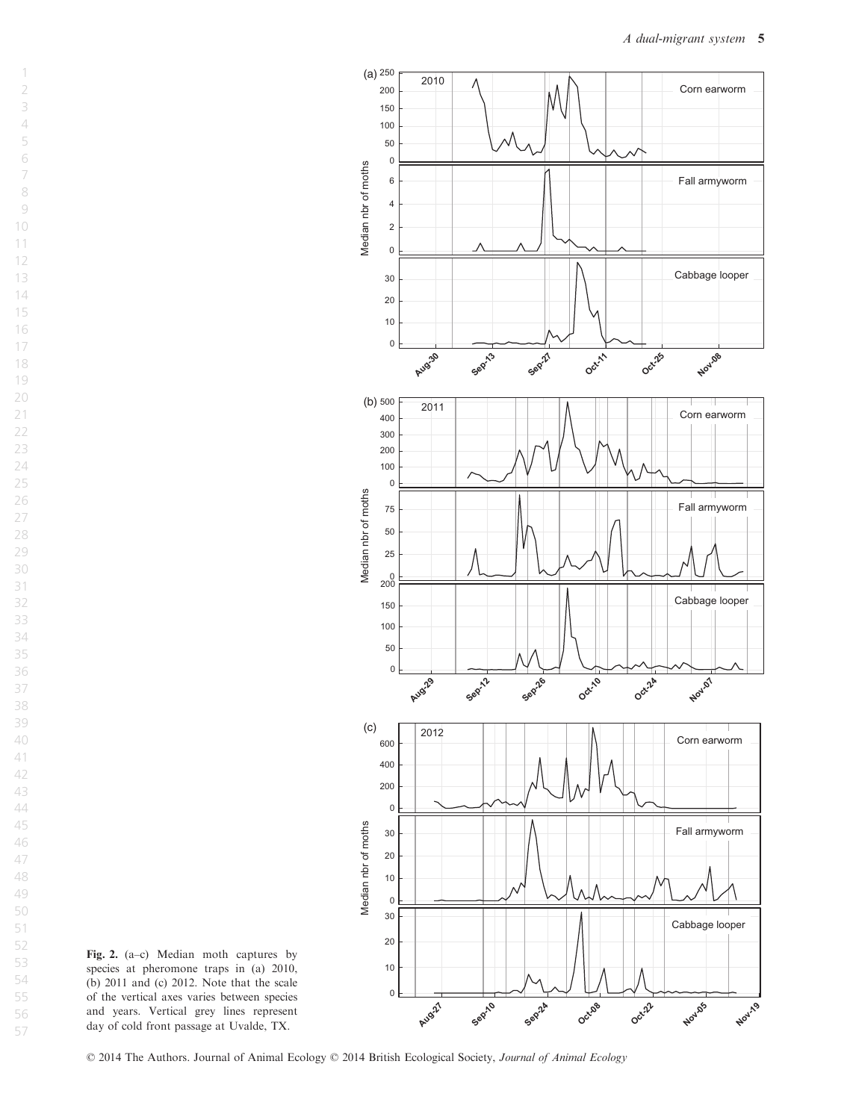

Fig. 2. (a–c) Median moth captures by species at pheromone traps in (a) 2010, (b) 2011 and (c) 2012. Note that the scale of the vertical axes varies between species and years. Vertical grey lines represent day of cold front passage at Uvalde, TX.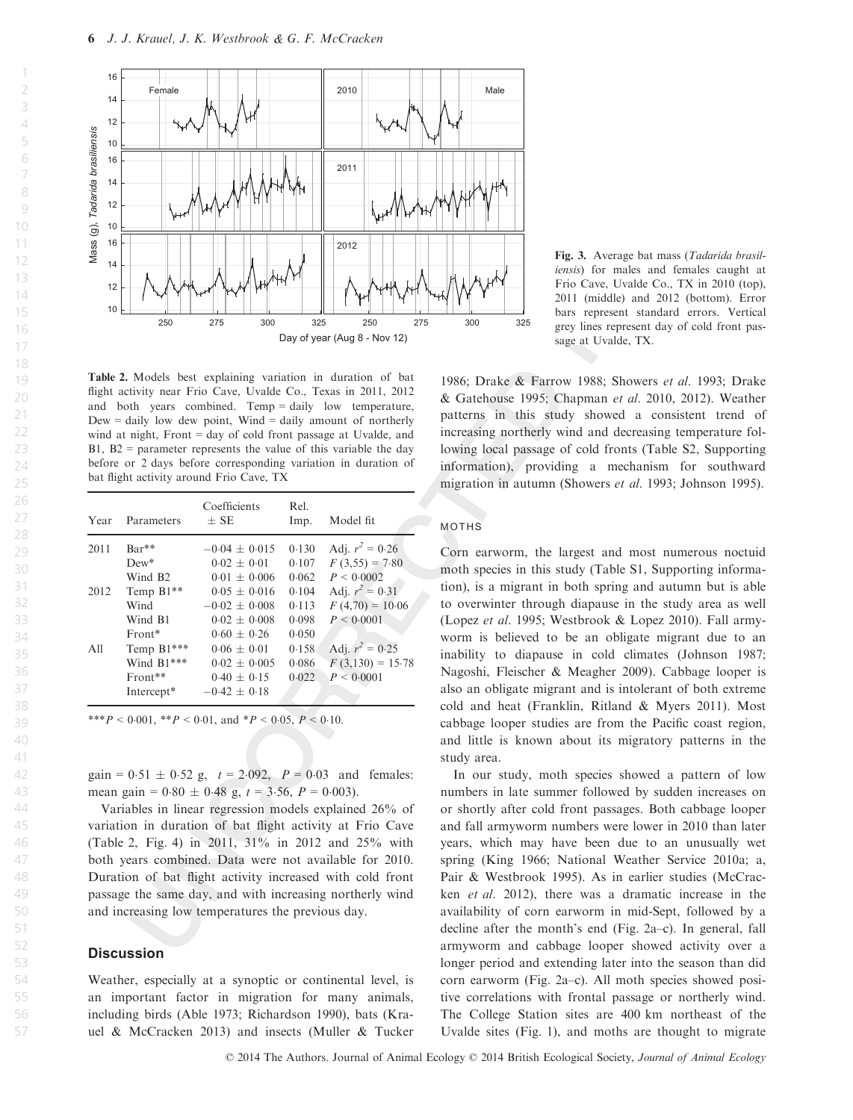4 5 6

23 24

26 27

45 46 47

51 52



Table 2. Models best explaining variation in duration of bat flight activity near Frio Cave, Uvalde Co., Texas in 2011, 2012 and both years combined. Temp = daily low temperature,  $Dew = \text{daily low dew point},$  Wind = daily amount of northerly wind at night, Front = day of cold front passage at Uvalde, and  $B1$ ,  $B2$  = parameter represents the value of this variable the day before or 2 days before corresponding variation in duration of bat flight activity around Frio Cave, TX

| Year | Parameters          | Coefficients<br>$\pm$ SE | Rel.<br>Imp. | Model fit          |
|------|---------------------|--------------------------|--------------|--------------------|
| 2011 | $Bar**$             | $-0.04 \pm 0.015$        | 0.130        | Adj. $r^2 = 0.26$  |
|      | $Dew*$              | $0.02 + 0.01$            | 0.107        | $F(3,55) = 7.80$   |
|      | Wind B <sub>2</sub> | $0.01 \pm 0.006$         | 0.062        | P < 0.0002         |
| 2012 | Temp B1**           | $0.05 + 0.016$           | 0.104        | Adj. $r^2 = 0.31$  |
|      | Wind                | $-0.02 + 0.008$          | 0.113        | $F(4,70) = 10.06$  |
|      | Wind B1             | $0.02 + 0.008$           | 0.098        | P < 0.0001         |
|      | Front*              | $0.60 + 0.26$            | 0.050        |                    |
| All  | Temp B1***          | $0.06 \pm 0.01$          | 0.158        | Adj. $r^2 = 0.25$  |
|      | Wind B1***          | $0.02 \pm 0.005$         | 0.086        | $F(3,130) = 15.78$ |
|      | Front**             | $0.40 \pm 0.15$          | 0.022        | $P \le 0.0001$     |
|      | Intercept*          | $-0.42 + 0.18$           |              |                    |

\*\*\*P < 0.001, \*\*P < 0.01, and \*P < 0.05, P < 0.10.

gain =  $0.51 \pm 0.52$  g,  $t = 2.092$ ,  $P = 0.03$  and females: mean gain =  $0.80 \pm 0.48$  g,  $t = 3.56$ ,  $P = 0.003$ ).

Variables in linear regression models explained 26% of variation in duration of bat flight activity at Frio Cave (Table 2, Fig. 4) in 2011, 31% in 2012 and 25% with both years combined. Data were not available for 2010. Duration of bat flight activity increased with cold front passage the same day, and with increasing northerly wind and increasing low temperatures the previous day.

## **Discussion**

Weather, especially at a synoptic or continental level, is an important factor in migration for many animals, including birds (Able 1973; Richardson 1990), bats (Krauel & McCracken 2013) and insects (Muller & Tucker

Fig. 3. Average bat mass (Tadarida brasiliensis) for males and females caught at Frio Cave, Uvalde Co., TX in 2010 (top), 2011 (middle) and 2012 (bottom). Error bars represent standard errors. Vertical grey lines represent day of cold front passage at Uvalde, TX.

1986; Drake & Farrow 1988; Showers et al. 1993; Drake & Gatehouse 1995; Chapman et al. 2010, 2012). Weather patterns in this study showed a consistent trend of increasing northerly wind and decreasing temperature following local passage of cold fronts (Table S2, Supporting information), providing a mechanism for southward migration in autumn (Showers et al. 1993; Johnson 1995).

## moths

Corn earworm, the largest and most numerous noctuid moth species in this study (Table S1, Supporting information), is a migrant in both spring and autumn but is able to overwinter through diapause in the study area as well (Lopez et al. 1995; Westbrook & Lopez 2010). Fall armyworm is believed to be an obligate migrant due to an inability to diapause in cold climates (Johnson 1987; Nagoshi, Fleischer & Meagher 2009). Cabbage looper is also an obligate migrant and is intolerant of both extreme cold and heat (Franklin, Ritland & Myers 2011). Most cabbage looper studies are from the Pacific coast region, and little is known about its migratory patterns in the study area.

In our study, moth species showed a pattern of low numbers in late summer followed by sudden increases on or shortly after cold front passages. Both cabbage looper and fall armyworm numbers were lower in 2010 than later years, which may have been due to an unusually wet spring (King 1966; National Weather Service 2010a; a, Pair & Westbrook 1995). As in earlier studies (McCracken et al. 2012), there was a dramatic increase in the availability of corn earworm in mid-Sept, followed by a decline after the month's end (Fig. 2a–c). In general, fall armyworm and cabbage looper showed activity over a longer period and extending later into the season than did corn earworm (Fig. 2a–c). All moth species showed positive correlations with frontal passage or northerly wind. The College Station sites are 400 km northeast of the Uvalde sites (Fig. 1), and moths are thought to migrate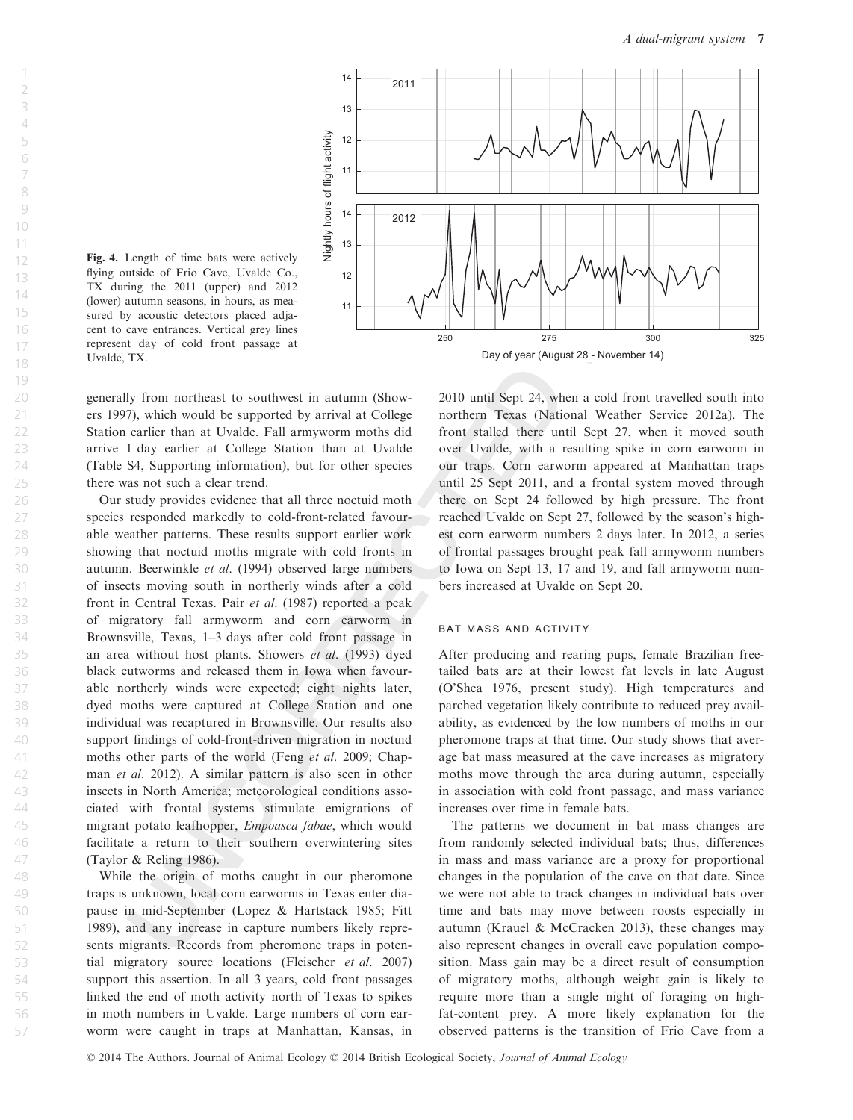

Fig. 4. Length of time bats were actively flying outside of Frio Cave, Uvalde Co., TX during the 2011 (upper) and 2012 (lower) autumn seasons, in hours, as measured by acoustic detectors placed adjacent to cave entrances. Vertical grey lines represent day of cold front passage at Uvalde, TX.

generally from northeast to southwest in autumn (Showers 1997), which would be supported by arrival at College Station earlier than at Uvalde. Fall armyworm moths did arrive 1 day earlier at College Station than at Uvalde (Table S4, Supporting information), but for other species there was not such a clear trend.

Our study provides evidence that all three noctuid moth species responded markedly to cold-front-related favourable weather patterns. These results support earlier work showing that noctuid moths migrate with cold fronts in autumn. Beerwinkle et al. (1994) observed large numbers of insects moving south in northerly winds after a cold front in Central Texas. Pair et al. (1987) reported a peak of migratory fall armyworm and corn earworm in Brownsville, Texas, 1–3 days after cold front passage in an area without host plants. Showers et al. (1993) dyed black cutworms and released them in Iowa when favourable northerly winds were expected; eight nights later, dyed moths were captured at College Station and one individual was recaptured in Brownsville. Our results also support findings of cold-front-driven migration in noctuid moths other parts of the world (Feng *et al.* 2009; Chapman et al. 2012). A similar pattern is also seen in other insects in North America; meteorological conditions associated with frontal systems stimulate emigrations of migrant potato leafhopper, Empoasca fabae, which would facilitate a return to their southern overwintering sites (Taylor & Reling 1986).

While the origin of moths caught in our pheromone traps is unknown, local corn earworms in Texas enter diapause in mid-September (Lopez & Hartstack 1985; Fitt 1989), and any increase in capture numbers likely represents migrants. Records from pheromone traps in potential migratory source locations (Fleischer et al. 2007) support this assertion. In all 3 years, cold front passages linked the end of moth activity north of Texas to spikes in moth numbers in Uvalde. Large numbers of corn earworm were caught in traps at Manhattan, Kansas, in

2010 until Sept 24, when a cold front travelled south into northern Texas (National Weather Service 2012a). The front stalled there until Sept 27, when it moved south over Uvalde, with a resulting spike in corn earworm in our traps. Corn earworm appeared at Manhattan traps until 25 Sept 2011, and a frontal system moved through there on Sept 24 followed by high pressure. The front reached Uvalde on Sept 27, followed by the season's highest corn earworm numbers 2 days later. In 2012, a series of frontal passages brought peak fall armyworm numbers to Iowa on Sept 13, 17 and 19, and fall armyworm numbers increased at Uvalde on Sept 20.

#### bat mass and activity

After producing and rearing pups, female Brazilian freetailed bats are at their lowest fat levels in late August (O'Shea 1976, present study). High temperatures and parched vegetation likely contribute to reduced prey availability, as evidenced by the low numbers of moths in our pheromone traps at that time. Our study shows that average bat mass measured at the cave increases as migratory moths move through the area during autumn, especially in association with cold front passage, and mass variance increases over time in female bats.

The patterns we document in bat mass changes are from randomly selected individual bats; thus, differences in mass and mass variance are a proxy for proportional changes in the population of the cave on that date. Since we were not able to track changes in individual bats over time and bats may move between roosts especially in autumn (Krauel & McCracken 2013), these changes may also represent changes in overall cave population composition. Mass gain may be a direct result of consumption of migratory moths, although weight gain is likely to require more than a single night of foraging on highfat-content prey. A more likely explanation for the observed patterns is the transition of Frio Cave from a

© 2014 The Authors. Journal of Animal Ecology © 2014 British Ecological Society, *Journal of Animal Ecology*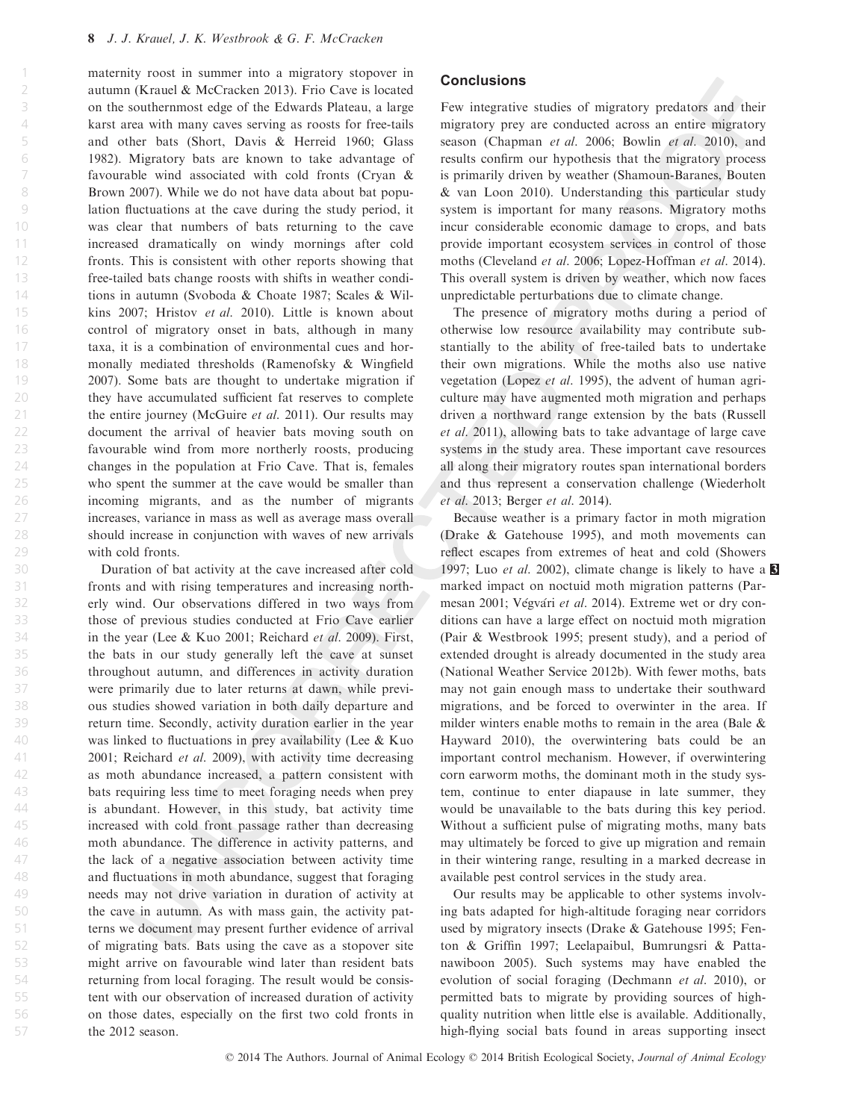21

56 57

maternity roost in summer into a migratory stopover in autumn (Krauel & McCracken 2013). Frio Cave is located on the southernmost edge of the Edwards Plateau, a large karst area with many caves serving as roosts for free-tails and other bats (Short, Davis & Herreid 1960; Glass 1982). Migratory bats are known to take advantage of favourable wind associated with cold fronts (Cryan & Brown 2007). While we do not have data about bat population fluctuations at the cave during the study period, it was clear that numbers of bats returning to the cave increased dramatically on windy mornings after cold fronts. This is consistent with other reports showing that free-tailed bats change roosts with shifts in weather conditions in autumn (Svoboda & Choate 1987; Scales & Wilkins 2007; Hristov et al. 2010). Little is known about control of migratory onset in bats, although in many taxa, it is a combination of environmental cues and hormonally mediated thresholds (Ramenofsky & Wingfield 2007). Some bats are thought to undertake migration if they have accumulated sufficient fat reserves to complete the entire journey (McGuire et al. 2011). Our results may document the arrival of heavier bats moving south on favourable wind from more northerly roosts, producing changes in the population at Frio Cave. That is, females who spent the summer at the cave would be smaller than incoming migrants, and as the number of migrants increases, variance in mass as well as average mass overall should increase in conjunction with waves of new arrivals with cold fronts.

Duration of bat activity at the cave increased after cold fronts and with rising temperatures and increasing northerly wind. Our observations differed in two ways from those of previous studies conducted at Frio Cave earlier in the year (Lee & Kuo 2001; Reichard et al. 2009). First, the bats in our study generally left the cave at sunset throughout autumn, and differences in activity duration were primarily due to later returns at dawn, while previous studies showed variation in both daily departure and return time. Secondly, activity duration earlier in the year was linked to fluctuations in prey availability (Lee & Kuo 2001; Reichard et al. 2009), with activity time decreasing as moth abundance increased, a pattern consistent with bats requiring less time to meet foraging needs when prey is abundant. However, in this study, bat activity time increased with cold front passage rather than decreasing moth abundance. The difference in activity patterns, and the lack of a negative association between activity time and fluctuations in moth abundance, suggest that foraging needs may not drive variation in duration of activity at the cave in autumn. As with mass gain, the activity patterns we document may present further evidence of arrival of migrating bats. Bats using the cave as a stopover site might arrive on favourable wind later than resident bats returning from local foraging. The result would be consistent with our observation of increased duration of activity on those dates, especially on the first two cold fronts in the 2012 season.

## **Conclusions**

Few integrative studies of migratory predators and their migratory prey are conducted across an entire migratory season (Chapman et al. 2006; Bowlin et al. 2010), and results confirm our hypothesis that the migratory process is primarily driven by weather (Shamoun-Baranes, Bouten & van Loon 2010). Understanding this particular study system is important for many reasons. Migratory moths incur considerable economic damage to crops, and bats provide important ecosystem services in control of those moths (Cleveland et al. 2006; Lopez-Hoffman et al. 2014). This overall system is driven by weather, which now faces unpredictable perturbations due to climate change.

The presence of migratory moths during a period of otherwise low resource availability may contribute substantially to the ability of free-tailed bats to undertake their own migrations. While the moths also use native vegetation (Lopez et al. 1995), the advent of human agriculture may have augmented moth migration and perhaps driven a northward range extension by the bats (Russell et al. 2011), allowing bats to take advantage of large cave systems in the study area. These important cave resources all along their migratory routes span international borders and thus represent a conservation challenge (Wiederholt et al. 2013; Berger et al. 2014).

Because weather is a primary factor in moth migration (Drake & Gatehouse 1995), and moth movements can reflect escapes from extremes of heat and cold (Showers 1997; Luo *et al.* 2002), climate change is likely to have a  $\blacksquare$ marked impact on noctuid moth migration patterns (Parmesan 2001; Végvári et al. 2014). Extreme wet or dry conditions can have a large effect on noctuid moth migration (Pair & Westbrook 1995; present study), and a period of extended drought is already documented in the study area (National Weather Service 2012b). With fewer moths, bats may not gain enough mass to undertake their southward migrations, and be forced to overwinter in the area. If milder winters enable moths to remain in the area (Bale & Hayward 2010), the overwintering bats could be an important control mechanism. However, if overwintering corn earworm moths, the dominant moth in the study system, continue to enter diapause in late summer, they would be unavailable to the bats during this key period. Without a sufficient pulse of migrating moths, many bats may ultimately be forced to give up migration and remain in their wintering range, resulting in a marked decrease in available pest control services in the study area.

Our results may be applicable to other systems involving bats adapted for high-altitude foraging near corridors used by migratory insects (Drake & Gatehouse 1995; Fenton & Griffin 1997; Leelapaibul, Bumrungsri & Pattanawiboon 2005). Such systems may have enabled the evolution of social foraging (Dechmann et al. 2010), or permitted bats to migrate by providing sources of highquality nutrition when little else is available. Additionally, high-flying social bats found in areas supporting insect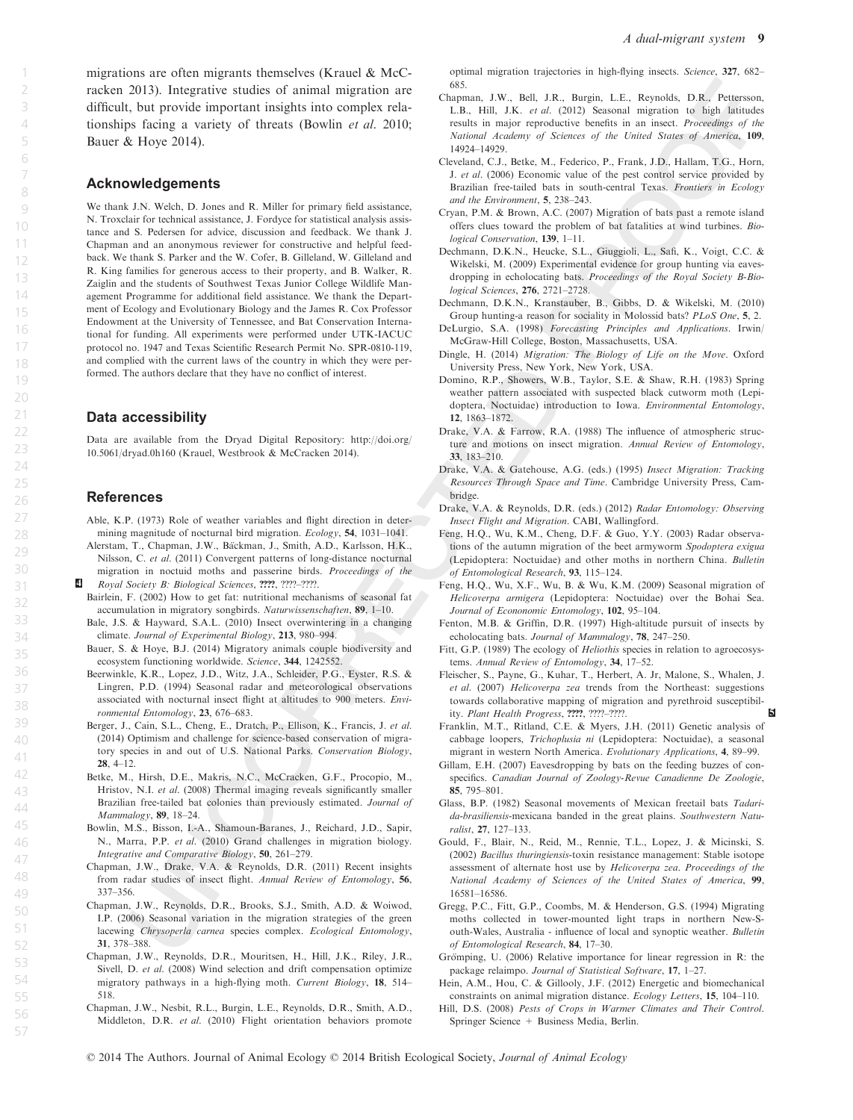migrations are often migrants themselves (Krauel & McCracken 2013). Integrative studies of animal migration are difficult, but provide important insights into complex relationships facing a variety of threats (Bowlin et al. 2010; Bauer & Hoye 2014).

## Acknowledgements

We thank J.N. Welch, D. Jones and R. Miller for primary field assistance, N. Troxclair for technical assistance, J. Fordyce for statistical analysis assistance and S. Pedersen for advice, discussion and feedback. We thank J. Chapman and an anonymous reviewer for constructive and helpful feedback. We thank S. Parker and the W. Cofer, B. Gilleland, W. Gilleland and R. King families for generous access to their property, and B. Walker, R. Zaiglin and the students of Southwest Texas Junior College Wildlife Management Programme for additional field assistance. We thank the Department of Ecology and Evolutionary Biology and the James R. Cox Professor Endowment at the University of Tennessee, and Bat Conservation International for funding. All experiments were performed under UTK-IACUC protocol no. 1947 and Texas Scientific Research Permit No. SPR-0810-119, and complied with the current laws of the country in which they were performed. The authors declare that they have no conflict of interest.

#### Data accessibility

Data are available from the Dryad Digital Repository: http://doi.org/ 10.5061/dryad.0h160 (Krauel, Westbrook & McCracken 2014).

## References

- Able, K.P. (1973) Role of weather variables and flight direction in determining magnitude of nocturnal bird migration. Ecology, 54, 1031–1041.
- Alerstam, T., Chapman, J.W., Bäckman, J., Smith, A.D., Karlsson, H.K., Nilsson, C. et al. (2011) Convergent patterns of long-distance nocturnal migration in noctuid moths and passerine birds. Proceedings of the
- 4 Royal Society B: Biological Sciences, ????, ????–????. Bairlein, F. (2002) How to get fat: nutritional mechanisms of seasonal fat accumulation in migratory songbirds. Naturwissenschaften, 89, 1–10.
	- Bale, J.S. & Hayward, S.A.L. (2010) Insect overwintering in a changing climate. Journal of Experimental Biology, 213, 980–994.
	- Bauer, S. & Hoye, B.J. (2014) Migratory animals couple biodiversity and ecosystem functioning worldwide. Science, 344, 1242552.
	- Beerwinkle, K.R., Lopez, J.D., Witz, J.A., Schleider, P.G., Eyster, R.S. & Lingren, P.D. (1994) Seasonal radar and meteorological observations associated with nocturnal insect flight at altitudes to 900 meters. Environmental Entomology, 23, 676–683.
	- Berger, J., Cain, S.L., Cheng, E., Dratch, P., Ellison, K., Francis, J. et al. (2014) Optimism and challenge for science-based conservation of migratory species in and out of U.S. National Parks. Conservation Biology, 28, 4–12.
	- Betke, M., Hirsh, D.E., Makris, N.C., McCracken, G.F., Procopio, M., Hristov, N.I. et al. (2008) Thermal imaging reveals significantly smaller Brazilian free-tailed bat colonies than previously estimated. Journal of Mammalogy, 89, 18–24.
	- Bowlin, M.S., Bisson, I.-A., Shamoun-Baranes, J., Reichard, J.D., Sapir, N., Marra, P.P. et al. (2010) Grand challenges in migration biology. Integrative and Comparative Biology, 50, 261–279.
	- Chapman, J.W., Drake, V.A. & Reynolds, D.R. (2011) Recent insights from radar studies of insect flight. Annual Review of Entomology, 56, 337–356.
	- Chapman, J.W., Reynolds, D.R., Brooks, S.J., Smith, A.D. & Woiwod, I.P. (2006) Seasonal variation in the migration strategies of the green lacewing Chrysoperla carnea species complex. Ecological Entomology, 31, 378–388.
	- Chapman, J.W., Reynolds, D.R., Mouritsen, H., Hill, J.K., Riley, J.R., Sivell, D. et al. (2008) Wind selection and drift compensation optimize migratory pathways in a high-flying moth. Current Biology, 18, 514– 518.
	- Chapman, J.W., Nesbit, R.L., Burgin, L.E., Reynolds, D.R., Smith, A.D., Middleton, D.R. et al. (2010) Flight orientation behaviors promote

optimal migration trajectories in high-flying insects. Science, 327, 682– 685.

- Chapman, J.W., Bell, J.R., Burgin, L.E., Reynolds, D.R., Pettersson, L.B., Hill, J.K. et al. (2012) Seasonal migration to high latitudes results in major reproductive benefits in an insect. Proceedings of the National Academy of Sciences of the United States of America, 109, 14924–14929.
- Cleveland, C.J., Betke, M., Federico, P., Frank, J.D., Hallam, T.G., Horn, J. et al. (2006) Economic value of the pest control service provided by Brazilian free-tailed bats in south-central Texas. Frontiers in Ecology and the Environment, 5, 238–243.
- Cryan, P.M. & Brown, A.C. (2007) Migration of bats past a remote island offers clues toward the problem of bat fatalities at wind turbines. Biological Conservation, 139, 1–11.
- Dechmann, D.K.N., Heucke, S.L., Giuggioli, L., Safi, K., Voigt, C.C. & Wikelski, M. (2009) Experimental evidence for group hunting via eavesdropping in echolocating bats. Proceedings of the Royal Society B-Biological Sciences, 276, 2721–2728.
- Dechmann, D.K.N., Kranstauber, B., Gibbs, D. & Wikelski, M. (2010) Group hunting-a reason for sociality in Molossid bats? PLoS One, 5, 2.
- DeLurgio, S.A. (1998) Forecasting Principles and Applications. Irwin/ McGraw-Hill College, Boston, Massachusetts, USA.
- Dingle, H. (2014) Migration: The Biology of Life on the Move. Oxford University Press, New York, New York, USA.
- Domino, R.P., Showers, W.B., Taylor, S.E. & Shaw, R.H. (1983) Spring weather pattern associated with suspected black cutworm moth (Lepidoptera, Noctuidae) introduction to Iowa. Environmental Entomology, 12, 1863–1872.
- Drake, V.A. & Farrow, R.A. (1988) The influence of atmospheric structure and motions on insect migration. Annual Review of Entomology, 33, 183–210.
- Drake, V.A. & Gatehouse, A.G. (eds.) (1995) Insect Migration: Tracking Resources Through Space and Time. Cambridge University Press, Cambridge.
- Drake, V.A. & Reynolds, D.R. (eds.) (2012) Radar Entomology: Observing Insect Flight and Migration. CABI, Wallingford.
- Feng, H.Q., Wu, K.M., Cheng, D.F. & Guo, Y.Y. (2003) Radar observations of the autumn migration of the beet armyworm Spodoptera exigua (Lepidoptera: Noctuidae) and other moths in northern China. Bulletin of Entomological Research, 93, 115–124.
- Feng, H.Q., Wu, X.F., Wu, B. & Wu, K.M. (2009) Seasonal migration of Helicoverpa armigera (Lepidoptera: Noctuidae) over the Bohai Sea. Journal of Econonomic Entomology, 102, 95-104.
- Fenton, M.B. & Griffin, D.R. (1997) High-altitude pursuit of insects by echolocating bats. Journal of Mammalogy, 78, 247–250.
- Fitt, G.P. (1989) The ecology of *Heliothis* species in relation to agroecosystems. Annual Review of Entomology, 34, 17–52.
- Fleischer, S., Payne, G., Kuhar, T., Herbert, A. Jr, Malone, S., Whalen, J. et al. (2007) Helicoverpa zea trends from the Northeast: suggestions towards collaborative mapping of migration and pyrethroid susceptibility. Plant Health Progress, ????, ????–????. 5
- Franklin, M.T., Ritland, C.E. & Myers, J.H. (2011) Genetic analysis of cabbage loopers, Trichoplusia ni (Lepidoptera: Noctuidae), a seasonal migrant in western North America. Evolutionary Applications, 4, 89–99.
- Gillam, E.H. (2007) Eavesdropping by bats on the feeding buzzes of conspecifics. Canadian Journal of Zoology-Revue Canadienne De Zoologie, 85, 795–801.
- Glass, B.P. (1982) Seasonal movements of Mexican freetail bats Tadarida-brasiliensis-mexicana banded in the great plains. Southwestern Naturalist, 27, 127–133.
- Gould, F., Blair, N., Reid, M., Rennie, T.L., Lopez, J. & Micinski, S. (2002) Bacillus thuringiensis-toxin resistance management: Stable isotope assessment of alternate host use by Helicoverpa zea. Proceedings of the National Academy of Sciences of the United States of America, 99, 16581–16586.
- Gregg, P.C., Fitt, G.P., Coombs, M. & Henderson, G.S. (1994) Migrating moths collected in tower-mounted light traps in northern New-South-Wales, Australia - influence of local and synoptic weather. Bulletin of Entomological Research, 84, 17–30.
- Grömping, U. (2006) Relative importance for linear regression in R: the package relaimpo. Journal of Statistical Software, 17, 1–27.
- Hein, A.M., Hou, C. & Gillooly, J.F. (2012) Energetic and biomechanical constraints on animal migration distance. Ecology Letters, 15, 104–110.
- Hill, D.S. (2008) Pests of Crops in Warmer Climates and Their Control. Springer Science + Business Media, Berlin.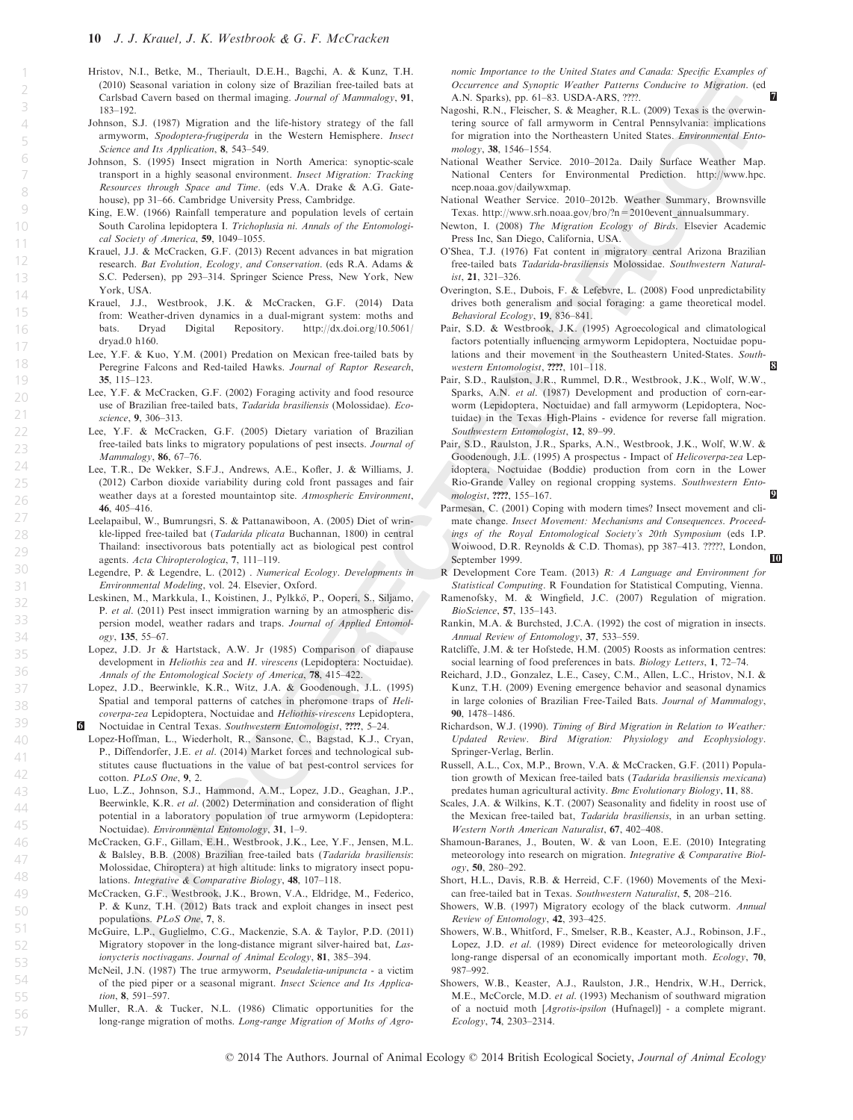21

23

26 27

45

47

51 52

56

- Hristov, N.I., Betke, M., Theriault, D.E.H., Bagchi, A. & Kunz, T.H. (2010) Seasonal variation in colony size of Brazilian free-tailed bats at Carlsbad Cavern based on thermal imaging. Journal of Mammalogy, 91, 183–192.
- Johnson, S.J. (1987) Migration and the life-history strategy of the fall armyworm, Spodoptera-frugiperda in the Western Hemisphere. Insect Science and Its Application, 8, 543–549.
- Johnson, S. (1995) Insect migration in North America: synoptic-scale transport in a highly seasonal environment. Insect Migration: Tracking Resources through Space and Time. (eds V.A. Drake & A.G. Gatehouse), pp 31–66. Cambridge University Press, Cambridge.
- King, E.W. (1966) Rainfall temperature and population levels of certain South Carolina lepidoptera I. Trichoplusia ni. Annals of the Entomological Society of America, 59, 1049–1055.
- Krauel, J.J. & McCracken, G.F. (2013) Recent advances in bat migration research. Bat Evolution, Ecology, and Conservation. (eds R.A. Adams & S.C. Pedersen), pp 293–314. Springer Science Press, New York, New York, USA.
- Krauel, J.J., Westbrook, J.K. & McCracken, G.F. (2014) Data from: Weather-driven dynamics in a dual-migrant system: moths and bats. Dryad Digital Repository. http://dx.doi.org/10.5061/  $http://dx.doi.org/10.5061/$ dryad.0 h160.
- Lee, Y.F. & Kuo, Y.M. (2001) Predation on Mexican free-tailed bats by Peregrine Falcons and Red-tailed Hawks. Journal of Raptor Research, 35, 115–123.
- Lee, Y.F. & McCracken, G.F. (2002) Foraging activity and food resource use of Brazilian free-tailed bats, Tadarida brasiliensis (Molossidae). Ecoscience, 9, 306–313.
- Lee, Y.F. & McCracken, G.F. (2005) Dietary variation of Brazilian free-tailed bats links to migratory populations of pest insects. Journal of Mammalogy, 86, 67–76.
- Lee, T.R., De Wekker, S.F.J., Andrews, A.E., Kofler, J. & Williams, J. (2012) Carbon dioxide variability during cold front passages and fair weather days at a forested mountaintop site. Atmospheric Environment, 46, 405–416.
- Leelapaibul, W., Bumrungsri, S. & Pattanawiboon, A. (2005) Diet of wrinkle-lipped free-tailed bat (Tadarida plicata Buchannan, 1800) in central Thailand: insectivorous bats potentially act as biological pest control agents. Acta Chiropterologica, 7, 111–119.
- Legendre, P. & Legendre, L. (2012) . Numerical Ecology. Developments in Environmental Modeling, vol. 24. Elsevier, Oxford.
- Leskinen, M., Markkula, I., Koistinen, J., Pylkkö, P., Ooperi, S., Siljamo, P. et al. (2011) Pest insect immigration warning by an atmospheric dispersion model, weather radars and traps. Journal of Applied Entomology, 135, 55–67.
- Lopez, J.D. Jr & Hartstack, A.W. Jr (1985) Comparison of diapause development in Heliothis zea and H. virescens (Lepidoptera: Noctuidae). Annals of the Entomological Society of America, 78, 415–422.
- Lopez, J.D., Beerwinkle, K.R., Witz, J.A. & Goodenough, J.L. (1995) Spatial and temporal patterns of catches in pheromone traps of Helicoverpa-zea Lepidoptera, Noctuidae and Heliothis-virescens Lepidoptera, 6 Noctuidae in Central Texas. Southwestern Entomologist, ????, 5–24.
- Lopez-Hoffman, L., Wiederholt, R., Sansone, C., Bagstad, K.J., Cryan, P., Diffendorfer, J.E. et al. (2014) Market forces and technological substitutes cause fluctuations in the value of bat pest-control services for cotton. PLoS One, 9, 2.
- Luo, L.Z., Johnson, S.J., Hammond, A.M., Lopez, J.D., Geaghan, J.P., Beerwinkle, K.R. et al. (2002) Determination and consideration of flight potential in a laboratory population of true armyworm (Lepidoptera: Noctuidae). Environmental Entomology, 31, 1–9.
- McCracken, G.F., Gillam, E.H., Westbrook, J.K., Lee, Y.F., Jensen, M.L. & Balsley, B.B. (2008) Brazilian free-tailed bats (Tadarida brasiliensis: Molossidae, Chiroptera) at high altitude: links to migratory insect populations. Integrative & Comparative Biology, 48, 107–118.
- McCracken, G.F., Westbrook, J.K., Brown, V.A., Eldridge, M., Federico, P. & Kunz, T.H. (2012) Bats track and exploit changes in insect pest populations. PLoS One, 7, 8.
- McGuire, L.P., Guglielmo, C.G., Mackenzie, S.A. & Taylor, P.D. (2011) Migratory stopover in the long-distance migrant silver-haired bat, Lasionycteris noctivagans. Journal of Animal Ecology, 81, 385–394.
- McNeil, J.N. (1987) The true armyworm, Pseudaletia-unipuncta a victim of the pied piper or a seasonal migrant. Insect Science and Its Application, 8, 591–597.
- Muller, R.A. & Tucker, N.L. (1986) Climatic opportunities for the long-range migration of moths. Long-range Migration of Moths of Agro-

nomic Importance to the United States and Canada: Specific Examples of Occurrence and Synoptic Weather Patterns Conducive to Migration. (ed A.N. Sparks), pp. 61-83. USDA-ARS, ????.

- Nagoshi, R.N., Fleischer, S. & Meagher, R.L. (2009) Texas is the overwintering source of fall armyworm in Central Pennsylvania: implications for migration into the Northeastern United States. Environmental Entomology, 38, 1546–1554.
- National Weather Service. 2010–2012a. Daily Surface Weather Map. National Centers for Environmental Prediction. http://www.hpc. ncep.noaa.gov/dailywxmap.
- National Weather Service. 2010–2012b. Weather Summary, Brownsville Texas. http://www.srh.noaa.gov/bro/?n=2010event\_annualsummary.
- Newton, I. (2008) The Migration Ecology of Birds. Elsevier Academic Press Inc, San Diego, California, USA.
- O'Shea, T.J. (1976) Fat content in migratory central Arizona Brazilian free-tailed bats Tadarida-brasiliensis Molossidae. Southwestern Natural- $1$   $321-326$
- Overington, S.E., Dubois, F. & Lefebvre, L. (2008) Food unpredictability drives both generalism and social foraging: a game theoretical model. Behavioral Ecology, 19, 836–841.
- Pair, S.D. & Westbrook, J.K. (1995) Agroecological and climatological factors potentially influencing armyworm Lepidoptera, Noctuidae populations and their movement in the Southeastern United-States. Southwestern Entomologist, ????, 101-118.
- Pair, S.D., Raulston, J.R., Rummel, D.R., Westbrook, J.K., Wolf, W.W., Sparks, A.N. et al. (1987) Development and production of corn-earworm (Lepidoptera, Noctuidae) and fall armyworm (Lepidoptera, Noctuidae) in the Texas High-Plains - evidence for reverse fall migration. Southwestern Entomologist, 12, 89–99.
- Pair, S.D., Raulston, J.R., Sparks, A.N., Westbrook, J.K., Wolf, W.W. & Goodenough, J.L. (1995) A prospectus - Impact of Helicoverpa-zea Lepidoptera, Noctuidae (Boddie) production from corn in the Lower Rio-Grande Valley on regional cropping systems. Southwestern Entomologist,  $222$ ,  $155-167$ .
- Parmesan, C. (2001) Coping with modern times? Insect movement and climate change. Insect Movement: Mechanisms and Consequences. Proceedings of the Royal Entomological Society's 20th Symposium (eds I.P. Woiwood, D.R. Reynolds & C.D. Thomas), pp 387–413. ?????, London, September 1999. 10
- R Development Core Team. (2013) R: A Language and Environment for Statistical Computing. R Foundation for Statistical Computing, Vienna.
- Ramenofsky, M. & Wingfield, J.C. (2007) Regulation of migration. BioScience, 57, 135–143.
- Rankin, M.A. & Burchsted, J.C.A. (1992) the cost of migration in insects. Annual Review of Entomology, 37, 533–559.
- Ratcliffe, J.M. & ter Hofstede, H.M. (2005) Roosts as information centres: social learning of food preferences in bats. Biology Letters, 1, 72–74.
- Reichard, J.D., Gonzalez, L.E., Casey, C.M., Allen, L.C., Hristov, N.I. & Kunz, T.H. (2009) Evening emergence behavior and seasonal dynamics in large colonies of Brazilian Free-Tailed Bats. Journal of Mammalogy, 90, 1478–1486.
- Richardson, W.J. (1990). Timing of Bird Migration in Relation to Weather: Updated Review. Bird Migration: Physiology and Ecophysiology. Springer-Verlag, Berlin.
- Russell, A.L., Cox, M.P., Brown, V.A. & McCracken, G.F. (2011) Population growth of Mexican free-tailed bats (Tadarida brasiliensis mexicana) predates human agricultural activity. Bmc Evolutionary Biology, 11, 88.
- Scales, J.A. & Wilkins, K.T. (2007) Seasonality and fidelity in roost use of the Mexican free-tailed bat, Tadarida brasiliensis, in an urban setting. Western North American Naturalist, 67, 402–408.
- Shamoun-Baranes, J., Bouten, W. & van Loon, E.E. (2010) Integrating meteorology into research on migration. Integrative & Comparative Biology, 50, 280–292.
- Short, H.L., Davis, R.B. & Herreid, C.F. (1960) Movements of the Mexican free-tailed bat in Texas. Southwestern Naturalist, 5, 208–216.
- Showers, W.B. (1997) Migratory ecology of the black cutworm. Annual Review of Entomology, 42, 393–425.
- Showers, W.B., Whitford, F., Smelser, R.B., Keaster, A.J., Robinson, J.F., Lopez, J.D. et al. (1989) Direct evidence for meteorologically driven long-range dispersal of an economically important moth. Ecology, 70, 987–992.
- Showers, W.B., Keaster, A.J., Raulston, J.R., Hendrix, W.H., Derrick, M.E., McCorcle, M.D. et al. (1993) Mechanism of southward migration of a noctuid moth [Agrotis-ipsilon (Hufnagel)] - a complete migrant. Ecology, 74, 2303–2314.